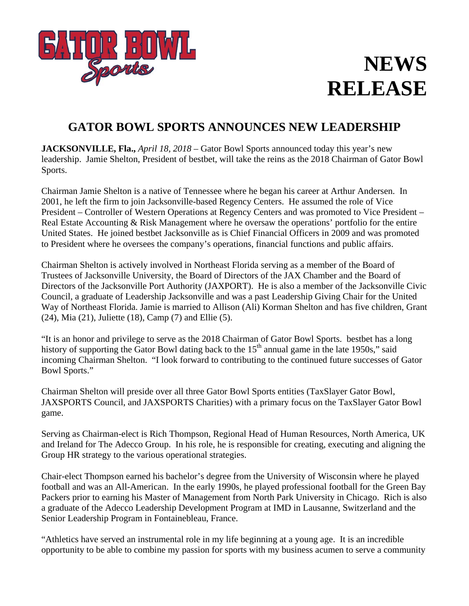

## **NEWS RELEASE**

## **GATOR BOWL SPORTS ANNOUNCES NEW LEADERSHIP**

**JACKSONVILLE, Fla.,** *April 18, 2018* – Gator Bowl Sports announced today this year's new leadership. Jamie Shelton, President of bestbet, will take the reins as the 2018 Chairman of Gator Bowl Sports.

Chairman Jamie Shelton is a native of Tennessee where he began his career at Arthur Andersen. In 2001, he left the firm to join Jacksonville-based Regency Centers. He assumed the role of Vice President – Controller of Western Operations at Regency Centers and was promoted to Vice President – Real Estate Accounting & Risk Management where he oversaw the operations' portfolio for the entire United States. He joined bestbet Jacksonville as is Chief Financial Officers in 2009 and was promoted to President where he oversees the company's operations, financial functions and public affairs.

Chairman Shelton is actively involved in Northeast Florida serving as a member of the Board of Trustees of Jacksonville University, the Board of Directors of the JAX Chamber and the Board of Directors of the Jacksonville Port Authority (JAXPORT). He is also a member of the Jacksonville Civic Council, a graduate of Leadership Jacksonville and was a past Leadership Giving Chair for the United Way of Northeast Florida. Jamie is married to Allison (Ali) Korman Shelton and has five children, Grant (24), Mia (21), Juliette (18), Camp (7) and Ellie (5).

"It is an honor and privilege to serve as the 2018 Chairman of Gator Bowl Sports. bestbet has a long history of supporting the Gator Bowl dating back to the  $15<sup>th</sup>$  annual game in the late 1950s," said incoming Chairman Shelton. "I look forward to contributing to the continued future successes of Gator Bowl Sports."

Chairman Shelton will preside over all three Gator Bowl Sports entities (TaxSlayer Gator Bowl, JAXSPORTS Council, and JAXSPORTS Charities) with a primary focus on the TaxSlayer Gator Bowl game.

Serving as Chairman-elect is Rich Thompson, Regional Head of Human Resources, North America, UK and Ireland for The Adecco Group. In his role, he is responsible for creating, executing and aligning the Group HR strategy to the various operational strategies.

Chair-elect Thompson earned his bachelor's degree from the University of Wisconsin where he played football and was an All-American. In the early 1990s, he played professional football for the Green Bay Packers prior to earning his Master of Management from North Park University in Chicago. Rich is also a graduate of the Adecco Leadership Development Program at IMD in Lausanne, Switzerland and the Senior Leadership Program in Fontainebleau, France.

"Athletics have served an instrumental role in my life beginning at a young age. It is an incredible opportunity to be able to combine my passion for sports with my business acumen to serve a community